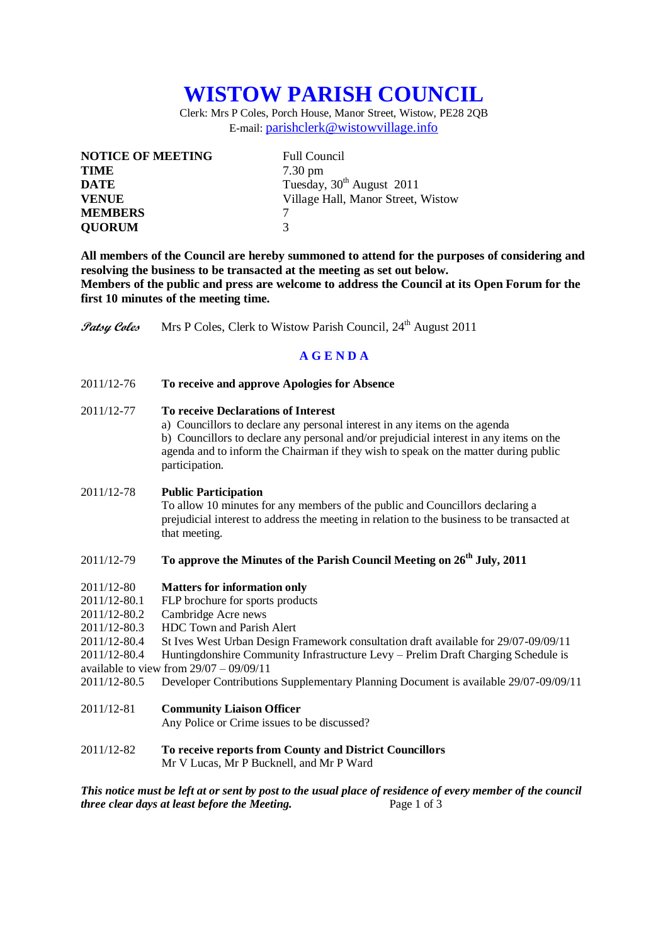# **WISTOW PARISH COUNCIL**

Clerk: Mrs P Coles, Porch House, Manor Street, Wistow, PE28 2QB E-mail: [parishclerk@wistowvillage.info](mailto:parishclerk@wistowvillage.info)

| <b>NOTICE OF MEETING</b> | <b>Full Council</b>                   |
|--------------------------|---------------------------------------|
| <b>TIME</b>              | $7.30 \text{ pm}$                     |
| DATE                     | Tuesday, 30 <sup>th</sup> August 2011 |
| <b>VENUE</b>             | Village Hall, Manor Street, Wistow    |
| <b>MEMBERS</b>           |                                       |
| <b>QUORUM</b>            | 3                                     |

**All members of the Council are hereby summoned to attend for the purposes of considering and resolving the business to be transacted at the meeting as set out below. Members of the public and press are welcome to address the Council at its Open Forum for the first 10 minutes of the meeting time.**

**Patsy Coles** Mrs P Coles, Clerk to Wistow Parish Council, 24<sup>th</sup> August 2011

# **A G E N D A**

2011/12-76 **To receive and approve Apologies for Absence**

### 2011/12-77 **To receive Declarations of Interest**

a) Councillors to declare any personal interest in any items on the agenda b) Councillors to declare any personal and/or prejudicial interest in any items on the agenda and to inform the Chairman if they wish to speak on the matter during public participation.

#### 2011/12-78 **Public Participation**

To allow 10 minutes for any members of the public and Councillors declaring a prejudicial interest to address the meeting in relation to the business to be transacted at that meeting.

# 2011/12-79 **To approve the Minutes of the Parish Council Meeting on 26 th July, 2011**

#### 2011/12-80 **Matters for information only**

- 2011/12-80.1 FLP brochure for sports products
- 2011/12-80.2 Cambridge Acre news
- 2011/12-80.3 HDC Town and Parish Alert
- 2011/12-80.4 St Ives West Urban Design Framework consultation draft available for 29/07-09/09/11
- 2011/12-80.4 Huntingdonshire Community Infrastructure Levy Prelim Draft Charging Schedule is available to view from  $29/07 - 09/09/11$
- 2011/12-80.5 Developer Contributions Supplementary Planning Document is available 29/07-09/09/11
- 2011/12-81 **Community Liaison Officer**

Any Police or Crime issues to be discussed?

2011/12-82 **To receive reports from County and District Councillors** Mr V Lucas, Mr P Bucknell, and Mr P Ward

*This notice must be left at or sent by post to the usual place of residence of every member of the council three clear days at least before the Meeting.* Page 1 of 3 *three clear days at least before the Meeting.*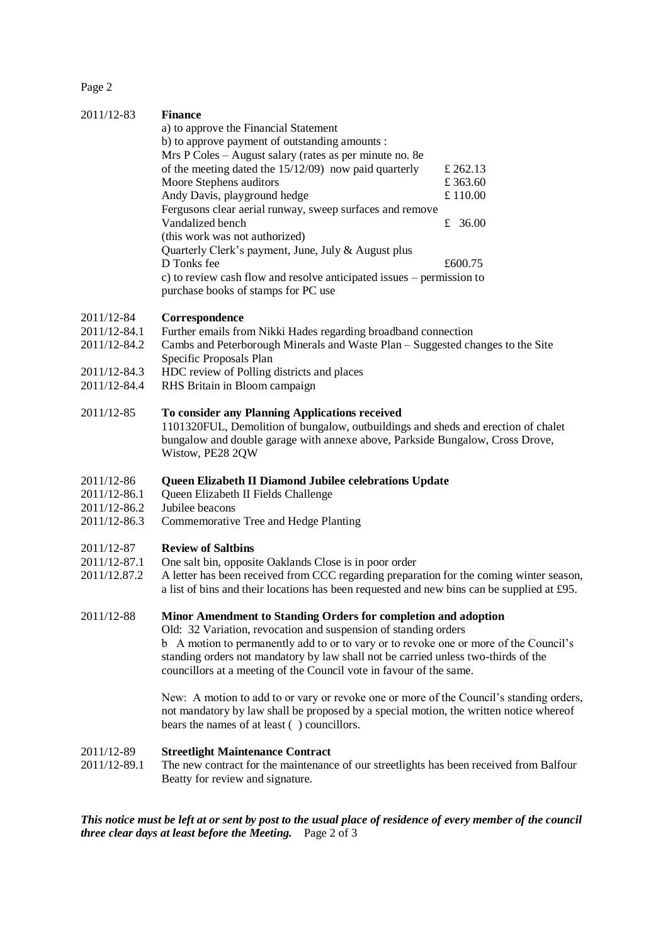Page 2

2011/12-83 **Finance**

| 2011/12-83 | <b>Finance</b>                                                        |          |  |
|------------|-----------------------------------------------------------------------|----------|--|
|            | a) to approve the Financial Statement                                 |          |  |
|            | b) to approve payment of outstanding amounts :                        |          |  |
|            | Mrs P Coles – August salary (rates as per minute no. 8e               |          |  |
|            | of the meeting dated the $15/12/09$ now paid quarterly                | £ 262.13 |  |
|            | Moore Stephens auditors                                               | £ 363.60 |  |
|            | Andy Davis, playground hedge                                          | £ 110.00 |  |
|            | Fergusons clear aerial runway, sweep surfaces and remove              |          |  |
|            | Vandalized bench                                                      | £ 36.00  |  |
|            | (this work was not authorized)                                        |          |  |
|            | Quarterly Clerk's payment, June, July & August plus                   |          |  |
|            | D Tonks fee                                                           | £600.75  |  |
|            | c) to review cash flow and resolve anticipated issues – permission to |          |  |
|            | purchase books of stamps for PC use                                   |          |  |

#### 2011/12-84 **Correspondence**

- 2011/12-84.1 Further emails from Nikki Hades regarding broadband connection
- 2011/12-84.2 Cambs and Peterborough Minerals and Waste Plan Suggested changes to the Site Specific Proposals Plan
- 2011/12-84.3 HDC review of Polling districts and places
- 2011/12-84.4 RHS Britain in Bloom campaign

#### 2011/12-85 **To consider any Planning Applications received**

1101320FUL, Demolition of bungalow, outbuildings and sheds and erection of chalet bungalow and double garage with annexe above, Parkside Bungalow, Cross Drove, Wistow, PE28 2QW

#### 2011/12-86 **Queen Elizabeth II Diamond Jubilee celebrations Update**

- 2011/12-86.1 Queen Elizabeth II Fields Challenge
- 2011/12-86.2 Jubilee beacons
- 2011/12-86.3 Commemorative Tree and Hedge Planting

#### 2011/12-87 **Review of Saltbins**

- 2011/12-87.1 One salt bin, opposite Oaklands Close is in poor order
- 2011/12.87.2 A letter has been received from CCC regarding preparation for the coming winter season, a list of bins and their locations has been requested and new bins can be supplied at £95.

#### 2011/12-88 **Minor Amendment to Standing Orders for completion and adoption**

Old: 32 Variation, revocation and suspension of standing orders b A motion to permanently add to or to vary or to revoke one or more of the Council's standing orders not mandatory by law shall not be carried unless two-thirds of the

councillors at a meeting of the Council vote in favour of the same.

New: A motion to add to or vary or revoke one or more of the Council's standing orders, not mandatory by law shall be proposed by a special motion, the written notice whereof bears the names of at least ( ) councillors.

#### 2011/12-89 **Streetlight Maintenance Contract**

2011/12-89.1 The new contract for the maintenance of our streetlights has been received from Balfour Beatty for review and signature.

*This notice must be left at or sent by post to the usual place of residence of every member of the council three clear days at least before the Meeting.* Page 2 of 3